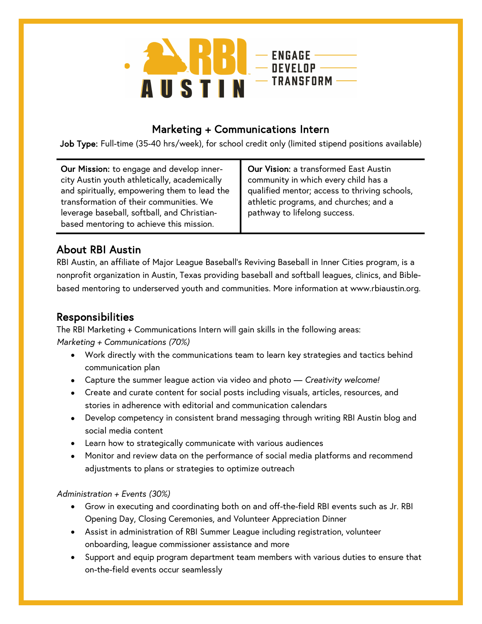

### Marketing + Communications Intern

Job Type: Full-time (35-40 hrs/week), for school credit only (limited stipend positions available)

Our Mission: to engage and develop innercity Austin youth athletically, academically and spiritually, empowering them to lead the transformation of their communities. We leverage baseball, softball, and Christianbased mentoring to achieve this mission.

Our Vision: a transformed East Austin community in which every child has a qualified mentor; access to thriving schools, athletic programs, and churches; and a pathway to lifelong success.

# About RBI Austin

RBI Austin, an affiliate of Major League Baseball's Reviving Baseball in Inner Cities program, is a nonprofit organization in Austin, Texas providing baseball and softball leagues, clinics, and Biblebased mentoring to underserved youth and communities. More information at www.rbiaustin.org.

# Responsibilities

The RBI Marketing + Communications Intern will gain skills in the following areas: *Marketing + Communications (70%)*

- Work directly with the communications team to learn key strategies and tactics behind communication plan
- Capture the summer league action via video and photo *Creativity welcome!*
- Create and curate content for social posts including visuals, articles, resources, and stories in adherence with editorial and communication calendars
- Develop competency in consistent brand messaging through writing RBI Austin blog and social media content
- Learn how to strategically communicate with various audiences
- Monitor and review data on the performance of social media platforms and recommend adjustments to plans or strategies to optimize outreach

#### *Administration + Events (30%)*

- Grow in executing and coordinating both on and off-the-field RBI events such as Jr. RBI Opening Day, Closing Ceremonies, and Volunteer Appreciation Dinner
- Assist in administration of RBI Summer League including registration, volunteer onboarding, league commissioner assistance and more
- Support and equip program department team members with various duties to ensure that on-the-field events occur seamlessly